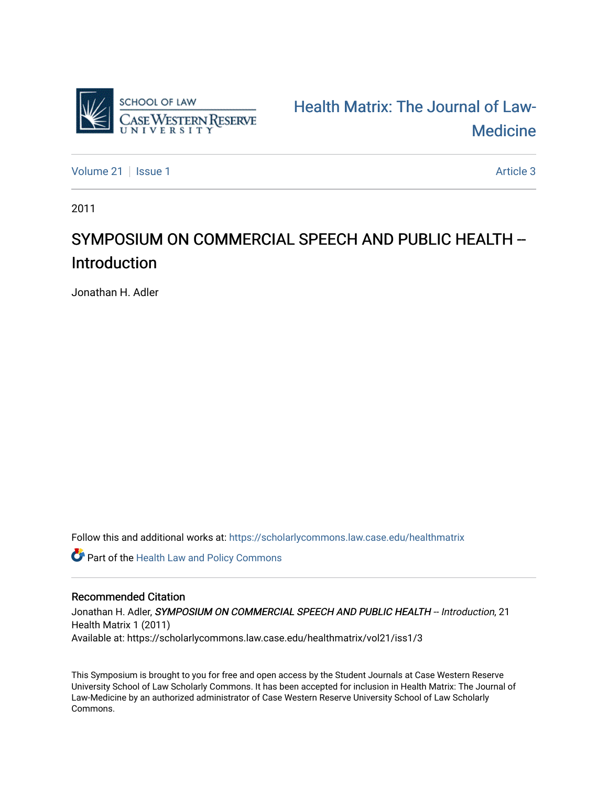

[Health Matrix: The Journal of Law-](https://scholarlycommons.law.case.edu/healthmatrix)**Medicine** 

[Volume 21](https://scholarlycommons.law.case.edu/healthmatrix/vol21) | [Issue 1](https://scholarlycommons.law.case.edu/healthmatrix/vol21/iss1) Article 3

2011

# SYMPOSIUM ON COMMERCIAL SPEECH AND PUBLIC HEALTH --Introduction

Jonathan H. Adler

Follow this and additional works at: [https://scholarlycommons.law.case.edu/healthmatrix](https://scholarlycommons.law.case.edu/healthmatrix?utm_source=scholarlycommons.law.case.edu%2Fhealthmatrix%2Fvol21%2Fiss1%2F3&utm_medium=PDF&utm_campaign=PDFCoverPages) 

Part of the [Health Law and Policy Commons](http://network.bepress.com/hgg/discipline/901?utm_source=scholarlycommons.law.case.edu%2Fhealthmatrix%2Fvol21%2Fiss1%2F3&utm_medium=PDF&utm_campaign=PDFCoverPages) 

### Recommended Citation

Jonathan H. Adler, SYMPOSIUM ON COMMERCIAL SPEECH AND PUBLIC HEALTH -- Introduction, 21 Health Matrix 1 (2011) Available at: https://scholarlycommons.law.case.edu/healthmatrix/vol21/iss1/3

This Symposium is brought to you for free and open access by the Student Journals at Case Western Reserve University School of Law Scholarly Commons. It has been accepted for inclusion in Health Matrix: The Journal of Law-Medicine by an authorized administrator of Case Western Reserve University School of Law Scholarly Commons.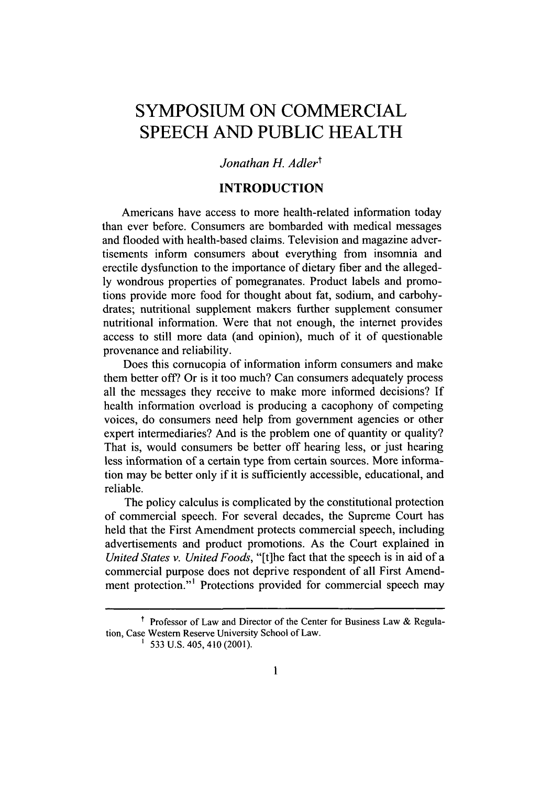## **SYMPOSIUM ON** COMMERCIAL **SPEECH AND PUBLIC** HEALTH

#### Jonathan H. Adler<sup>t</sup>

#### **INTRODUCTION**

Americans have access to more health-related information today than ever before. Consumers are bombarded with medical messages and flooded with health-based claims. Television and magazine advertisements inform consumers about everything from insomnia and erectile dysfunction to the importance of dietary fiber and the alleged**ly** wondrous properties of pomegranates. Product labels and promotions provide more food for thought about fat, sodium, and carbohydrates; nutritional supplement makers further supplement consumer nutritional information. Were that not enough, the internet provides access to still more data (and opinion), much of it of questionable provenance and reliability.

Does this cornucopia of information inform consumers and make them better off? Or is it too much? Can consumers adequately process all the messages they receive to make more informed decisions? **If** health information overload is producing a cacophony of competing voices, do consumers need help from government agencies or other expert intermediaries? And is the problem one of quantity or quality? That is, would consumers be better off hearing less, or just hearing less information of a certain type from certain sources. More information may be better only if it is sufficiently accessible, educational, and reliable.

The policy calculus is complicated **by** the constitutional protection of commercial speech. For several decades, the Supreme Court has held that the First Amendment protects commercial speech, including advertisements and product promotions. As the Court explained in *United States v. United Foods,* "[t]he fact that the speech is in aid of a commercial purpose does not deprive respondent of all First Amendment protection."<sup>1</sup> Protections provided for commercial speech may

t Professor of Law and Director of the Center for Business Law **&** Regulation, Case Western Reserve University School of Law.

**<sup>&#</sup>x27; 533 U.S.** 405, 410 (2001).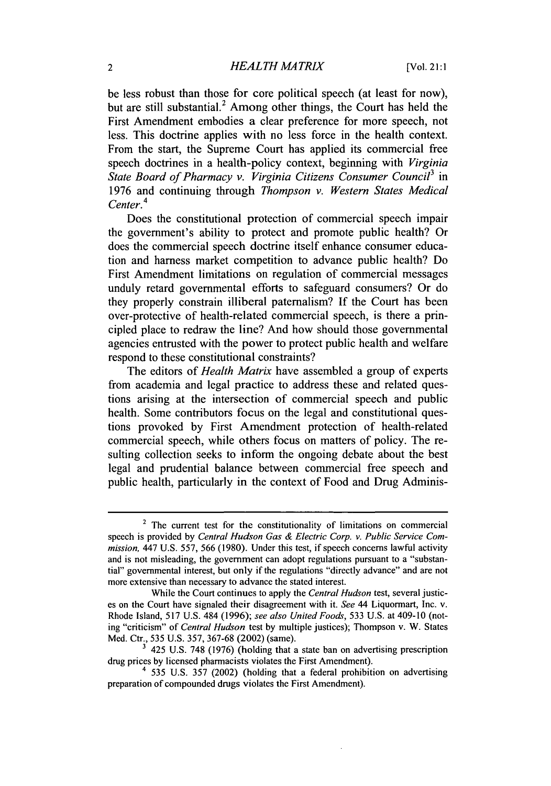be less robust than those for core political speech (at least for now), but are still substantial.<sup>2</sup> Among other things, the Court has held the First Amendment embodies a clear preference for more speech, not less. This doctrine applies with no less force in the health context. From the start, the Supreme Court has applied its commercial free speech doctrines in a health-policy context, beginning with *Virginia State Board of Pharmacy v. Virginia Citizens Consumer Council3* in **1976** and continuing through *Thompson v. Western States Medical Center.4*

Does the constitutional protection of commercial speech impair the government's ability to protect and promote public health? Or does the commercial speech doctrine itself enhance consumer education and harness market competition to advance public health? Do First Amendment limitations on regulation of commercial messages unduly retard governmental efforts to safeguard consumers? Or do they properly constrain illiberal paternalism? **If** the Court has been over-protective of health-related commercial speech, is there a principled place to redraw the line? And how should those governmental agencies entrusted with the power to protect public health and welfare respond to these constitutional constraints?

The editors of *Health Matrix* have assembled a group of experts from academia and legal practice to address these and related questions arising at the intersection of commercial speech and public health. Some contributors focus on the legal and constitutional questions provoked **by** First Amendment protection of health-related commercial speech, while others focus on matters of policy. The resulting collection seeks to inform the ongoing debate about the best legal and prudential balance between commercial free speech and public health, particularly in the context of Food and Drug Adminis-

<sup>&</sup>lt;sup>2</sup> The current test for the constitutionality of limitations on commercial speech is provided **by** *Central Hudson Gas & Electric Corp. v. Public Service Commission,* 447 **U.S.** *557, 566* **(1980).** Under this test, if speech concerns lawful activity and is not misleading, the government can adopt regulations pursuant to a "substantial" governmental interest, but only if the regulations "directly advance" and are not more extensive than necessary to advance the stated interest.

While the Court continues to apply the *Central Hudson* test, several justices on the Court have signaled their disagreement with it. *See* 44 Liquormart, Inc. v. Rhode Island, **517 U.S.** 484 **(1996);** *see also United Foods,* **533 U.S.** at 409-10 (noting "criticism" of *Central Hudson* test **by** multiple justices); Thompson v. W. States Med. Ctr., **535 U.S. 357, 367-68** (2002) (same).

<sup>425</sup> **U.S. 748 (1976)** (holding that a state ban on advertising prescription drug prices **by** licensed pharmacists violates the First Amendment).

<sup>4</sup>**535 U.S. 357** (2002) (holding that a federal prohibition on advertising preparation of compounded drugs violates the First Amendment).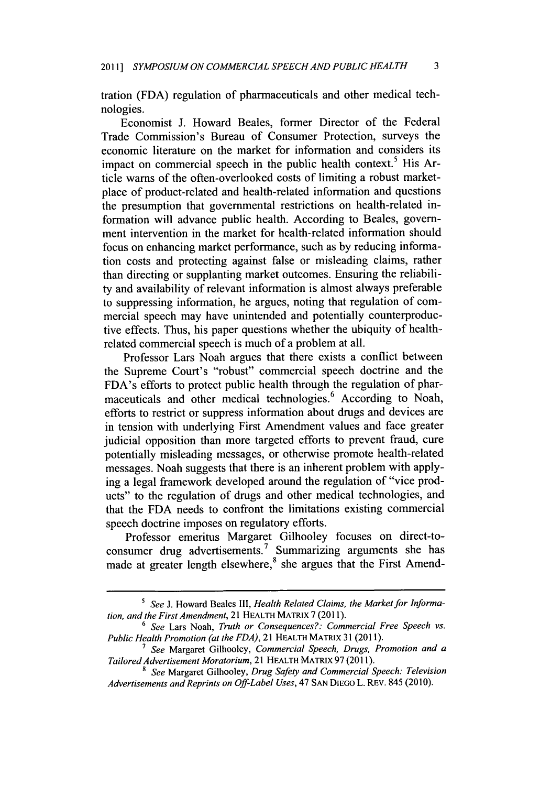tration **(FDA)** regulation of pharmaceuticals and other medical technologies.

Economist **J.** Howard Beales, former Director of the Federal Trade Commission's Bureau of Consumer Protection, surveys the economic literature on the market for information and considers its impact on commercial speech in the public health context.<sup>5</sup> His Article warns of the often-overlooked costs of limiting a robust marketplace of product-related and health-related information and questions the presumption that governmental restrictions on health-related information will advance public health. According to Beales, government intervention in the market for health-related information should focus on enhancing market performance, such as **by** reducing information costs and protecting against false or misleading claims, rather than directing or supplanting market outcomes. Ensuring the reliability and availability of relevant information is almost always preferable to suppressing information, he argues, noting that regulation of commercial speech may have unintended and potentially counterproductive effects. Thus, his paper questions whether the ubiquity of healthrelated commercial speech is much of a problem at all.

Professor Lars Noah argues that there exists a conflict between the Supreme Court's "robust" commercial speech doctrine and the FDA's efforts to protect public health through the regulation of pharmaceuticals and other medical technologies.<sup>6</sup> According to Noah, efforts to restrict or suppress information about drugs and devices are in tension with underlying First Amendment values and face greater judicial opposition than more targeted efforts to prevent fraud, cure potentially misleading messages, or otherwise promote health-related messages. Noah suggests that there is an inherent problem with applying a legal framework developed around the regulation of "vice products" to the regulation of drugs and other medical technologies, and that the **FDA** needs to confront the limitations existing commercial speech doctrine imposes on regulatory efforts.

Professor emeritus Margaret Gilhooley focuses on direct-toconsumer drug advertisements.<sup>7</sup> Summarizing arguments she has made at greater length elsewhere,<sup>8</sup> she argues that the First Amend-

s *See* **J.** Howard Beales *111, Health Related Claims, the Market for Information, and the First Amendment,* 21 **HEALTH MATRIx 7 (2011).**

**<sup>6</sup>** *See* Lars Noah, *Truth or Consequences?: Commercial Free Speech vs. Public Health Promotion (at the FDA),* 21 **HEALTH MATRIX 31 (2011).**

**<sup>7</sup>** *See* Margaret Gilhooley, *Commercial Speech, Drugs, Promotion and a Tailored Advertisement Moratorium,* 21 **HEALTH MATRIx 97 (2011).**

*<sup>8</sup> See* Margaret Gilhooley, *Drug Safety and Commercial Speech: Television Advertisements and Reprints on Off-Label Uses, 47* **SAN DIEGO** L. REV. 845 **(2010).**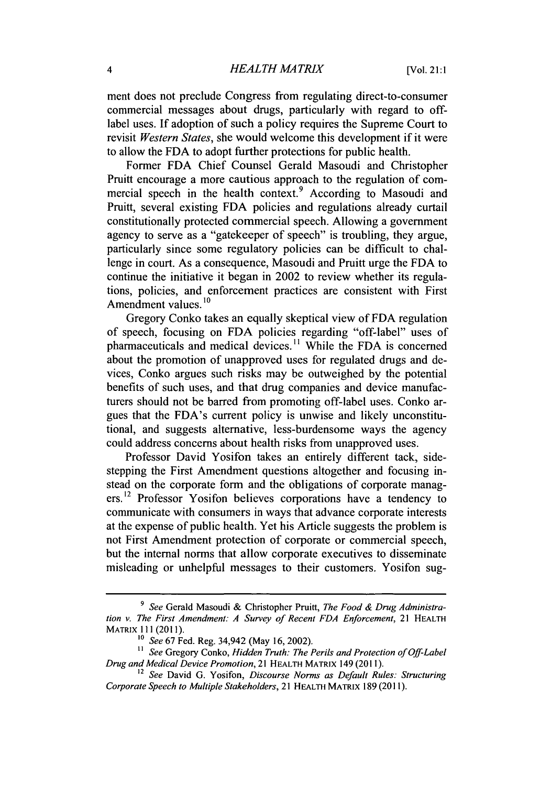#### 4 *HEALTH MATRIX* [Vol. 21:1

ment does not preclude Congress from regulating direct-to-consumer commercial messages about drugs, particularly with regard to offlabel uses. **If** adoption of such a policy requires the Supreme Court to revisit *Western States,* she would welcome this development if it were to allow the **FDA** to adopt further protections for public health.

Former **FDA** Chief Counsel Gerald Masoudi and Christopher Pruitt encourage a more cautious approach to the regulation of commercial speech in the health context.<sup>9</sup> According to Masoudi and Pruitt, several existing **FDA** policies and regulations already curtail constitutionally protected commercial speech. Allowing a government agency to serve as a "gatekeeper of speech" is troubling, they argue, particularly since some regulatory policies can be difficult to challenge in court. As a consequence, Masoudi and Pruitt urge the **FDA** to continue the initiative it began in 2002 to review whether its regulations, policies, and enforcement practices are consistent with First Amendment values.<sup>10</sup>

Gregory Conko takes an equally skeptical view of **FDA** regulation of speech, focusing on **FDA** policies regarding "off-label" uses of pharmaceuticals and medical devices." While the **FDA** is concerned about the promotion of unapproved uses for regulated drugs and devices, Conko argues such risks may be outweighed **by** the potential benefits of such uses, and that drug companies and device manufacturers should not be barred from promoting off-label uses. Conko argues that the FDA's current policy is unwise and **likely** unconstitutional, and suggests alternative, less-burdensome ways the agency could address concerns about health risks from unapproved uses.

Professor David Yosifon takes an entirely different tack, sidestepping the First Amendment questions altogether and focusing instead on the corporate form and the obligations of corporate managers.12 Professor Yosifon believes corporations have a tendency to communicate with consumers in ways that advance corporate interests at the expense of public health. Yet his Article suggests the problem **is** not First Amendment protection of corporate or commercial speech, but the internal norms that allow corporate executives to disseminate misleading or unhelpful messages to their customers. Yosifon sug-

*<sup>9</sup> See* Gerald Masoudi **&** Christopher Pruitt, *The Food & Drug Administration v. The First Amendment: A Survey of Recent FDA Enforcement,* 21 **HEALTH** MATRIX **111 (2011).**

**<sup>10</sup>** *See 67* Fed. Reg. 34,942 (May **16,** 2002).

<sup>&</sup>lt;sup>11</sup> See Gregory Conko, *Hidden Truth: The Perils and Protection of Off-Label Drug and Medical Device Promotion,* 21 **HEALTH MATRIX** 149 **(2011).**

**<sup>12</sup>***See* David **G.** Yosifon, *Discourse Norms as Default Rules: Structuring Corporate Speech to Multiple Stakeholders,* 21 **HEALTH MATRIX 189 (2011).**